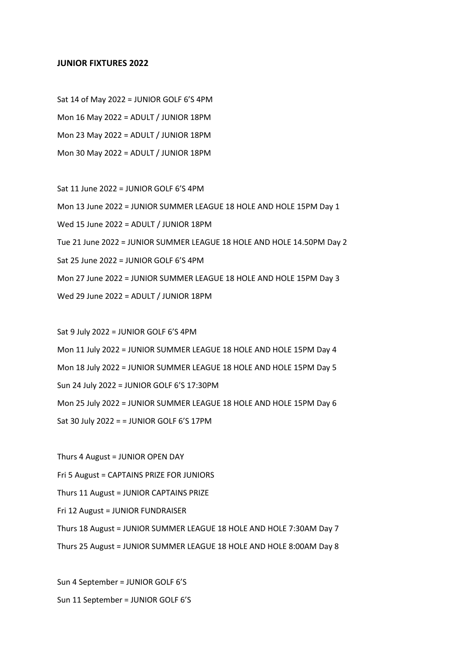## **JUNIOR FIXTURES 2022**

Sat 14 of May 2022 = JUNIOR GOLF 6'S 4PM Mon 16 May 2022 = ADULT / JUNIOR 18PM Mon 23 May 2022 = ADULT / JUNIOR 18PM Mon 30 May 2022 = ADULT / JUNIOR 18PM

Sat 11 June 2022 = JUNIOR GOLF 6'S 4PM Mon 13 June 2022 = JUNIOR SUMMER LEAGUE 18 HOLE AND HOLE 15PM Day 1 Wed 15 June 2022 = ADULT / JUNIOR 18PM Tue 21 June 2022 = JUNIOR SUMMER LEAGUE 18 HOLE AND HOLE 14.50PM Day 2 Sat 25 June 2022 = JUNIOR GOLF 6'S 4PM Mon 27 June 2022 = JUNIOR SUMMER LEAGUE 18 HOLE AND HOLE 15PM Day 3 Wed 29 June 2022 = ADULT / JUNIOR 18PM

Sat 9 July 2022 = JUNIOR GOLF 6'S 4PM Mon 11 July 2022 = JUNIOR SUMMER LEAGUE 18 HOLE AND HOLE 15PM Day 4 Mon 18 July 2022 = JUNIOR SUMMER LEAGUE 18 HOLE AND HOLE 15PM Day 5 Sun 24 July 2022 = JUNIOR GOLF 6'S 17:30PM Mon 25 July 2022 = JUNIOR SUMMER LEAGUE 18 HOLE AND HOLE 15PM Day 6 Sat 30 July 2022 = = JUNIOR GOLF 6'S 17PM

Thurs 4 August = JUNIOR OPEN DAY Fri 5 August = CAPTAINS PRIZE FOR JUNIORS Thurs 11 August = JUNIOR CAPTAINS PRIZE Fri 12 August = JUNIOR FUNDRAISER Thurs 18 August = JUNIOR SUMMER LEAGUE 18 HOLE AND HOLE 7:30AM Day 7 Thurs 25 August = JUNIOR SUMMER LEAGUE 18 HOLE AND HOLE 8:00AM Day 8

Sun 4 September = JUNIOR GOLF 6'S Sun 11 September = JUNIOR GOLF 6'S